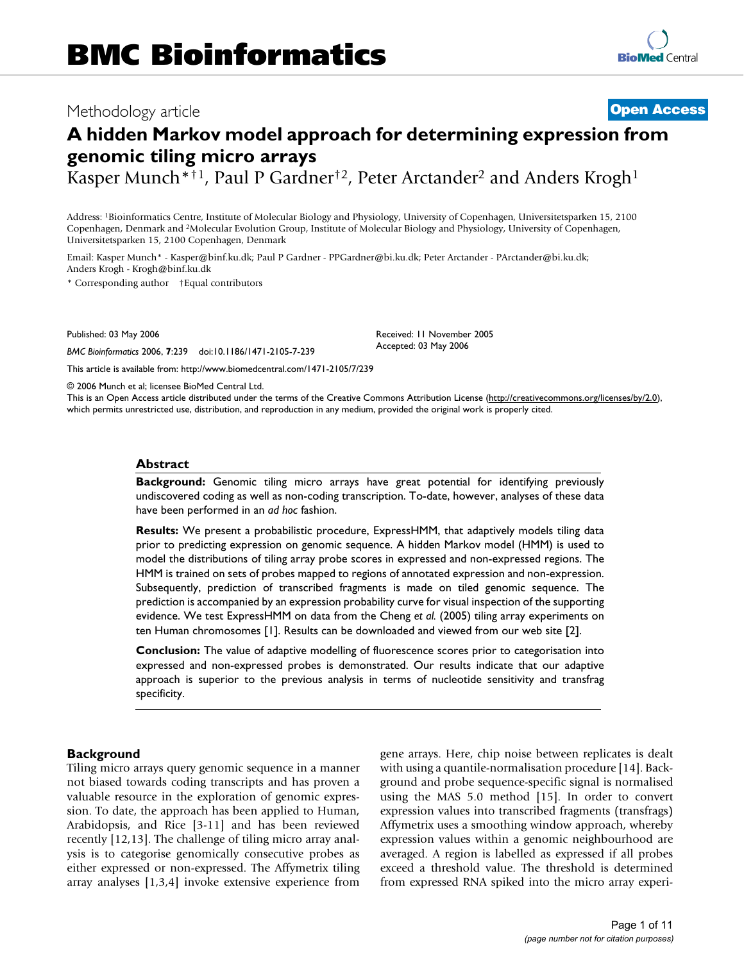## Methodology article **[Open Access](http://www.biomedcentral.com/info/about/charter/)**

# **A hidden Markov model approach for determining expression from genomic tiling micro arrays**

Kasper Munch\*†1, Paul P Gardner<sup>†2</sup>, Peter Arctander<sup>2</sup> and Anders Krogh<sup>1</sup>

Address: 1Bioinformatics Centre, Institute of Molecular Biology and Physiology, University of Copenhagen, Universitetsparken 15, 2100 Copenhagen, Denmark and 2Molecular Evolution Group, Institute of Molecular Biology and Physiology, University of Copenhagen, Universitetsparken 15, 2100 Copenhagen, Denmark

Email: Kasper Munch\* - Kasper@binf.ku.dk; Paul P Gardner - PPGardner@bi.ku.dk; Peter Arctander - PArctander@bi.ku.dk; Anders Krogh - Krogh@binf.ku.dk

\* Corresponding author †Equal contributors

Published: 03 May 2006

*BMC Bioinformatics* 2006, **7**:239 doi:10.1186/1471-2105-7-239

[This article is available from: http://www.biomedcentral.com/1471-2105/7/239](http://www.biomedcentral.com/1471-2105/7/239)

© 2006 Munch et al; licensee BioMed Central Ltd.

This is an Open Access article distributed under the terms of the Creative Commons Attribution License [\(http://creativecommons.org/licenses/by/2.0\)](http://creativecommons.org/licenses/by/2.0), which permits unrestricted use, distribution, and reproduction in any medium, provided the original work is properly cited.

Received: 11 November 2005 Accepted: 03 May 2006

## **Abstract**

**Background:** Genomic tiling micro arrays have great potential for identifying previously undiscovered coding as well as non-coding transcription. To-date, however, analyses of these data have been performed in an *ad hoc* fashion.

**Results:** We present a probabilistic procedure, ExpressHMM, that adaptively models tiling data prior to predicting expression on genomic sequence. A hidden Markov model (HMM) is used to model the distributions of tiling array probe scores in expressed and non-expressed regions. The HMM is trained on sets of probes mapped to regions of annotated expression and non-expression. Subsequently, prediction of transcribed fragments is made on tiled genomic sequence. The prediction is accompanied by an expression probability curve for visual inspection of the supporting evidence. We test ExpressHMM on data from the Cheng *et al.* (2005) tiling array experiments on ten Human chromosomes [1]. Results can be downloaded and viewed from our web site [2].

**Conclusion:** The value of adaptive modelling of fluorescence scores prior to categorisation into expressed and non-expressed probes is demonstrated. Our results indicate that our adaptive approach is superior to the previous analysis in terms of nucleotide sensitivity and transfrag specificity.

## **Background**

Tiling micro arrays query genomic sequence in a manner not biased towards coding transcripts and has proven a valuable resource in the exploration of genomic expression. To date, the approach has been applied to Human, Arabidopsis, and Rice [3-11] and has been reviewed recently [12,13]. The challenge of tiling micro array analysis is to categorise genomically consecutive probes as either expressed or non-expressed. The Affymetrix tiling array analyses [1,3,4] invoke extensive experience from gene arrays. Here, chip noise between replicates is dealt with using a quantile-normalisation procedure [14]. Background and probe sequence-specific signal is normalised using the MAS 5.0 method [15]. In order to convert expression values into transcribed fragments (transfrags) Affymetrix uses a smoothing window approach, whereby expression values within a genomic neighbourhood are averaged. A region is labelled as expressed if all probes exceed a threshold value. The threshold is determined from expressed RNA spiked into the micro array experi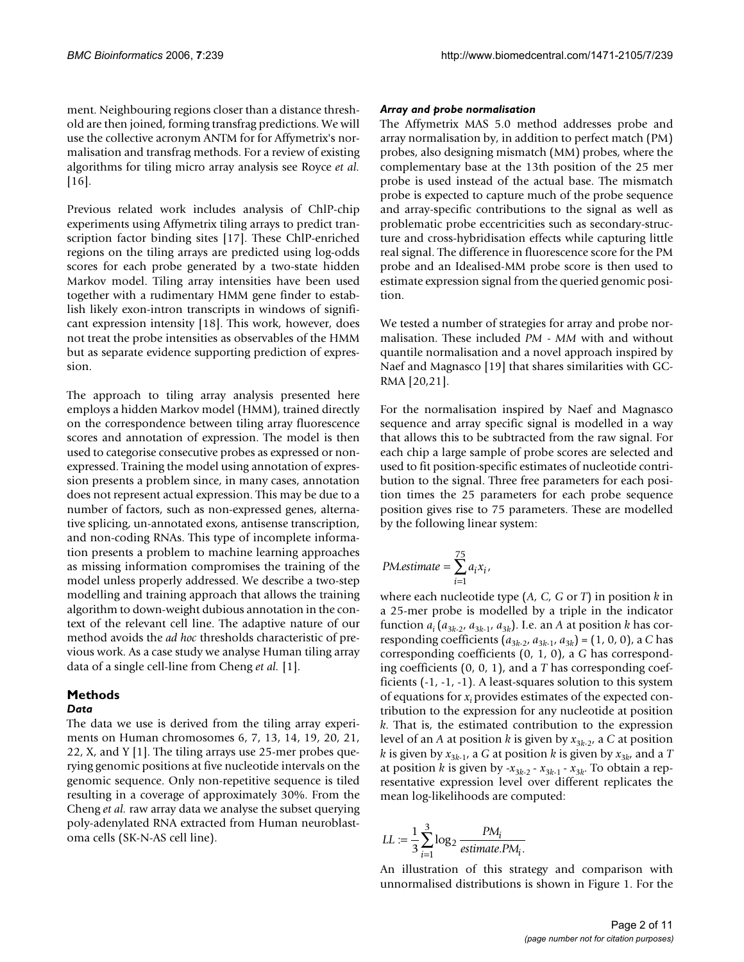ment. Neighbouring regions closer than a distance threshold are then joined, forming transfrag predictions. We will use the collective acronym ANTM for for Affymetrix's normalisation and transfrag methods. For a review of existing algorithms for tiling micro array analysis see Royce *et al.* [16].

Previous related work includes analysis of ChlP-chip experiments using Affymetrix tiling arrays to predict transcription factor binding sites [17]. These ChlP-enriched regions on the tiling arrays are predicted using log-odds scores for each probe generated by a two-state hidden Markov model. Tiling array intensities have been used together with a rudimentary HMM gene finder to establish likely exon-intron transcripts in windows of significant expression intensity [18]. This work, however, does not treat the probe intensities as observables of the HMM but as separate evidence supporting prediction of expression.

The approach to tiling array analysis presented here employs a hidden Markov model (HMM), trained directly on the correspondence between tiling array fluorescence scores and annotation of expression. The model is then used to categorise consecutive probes as expressed or nonexpressed. Training the model using annotation of expression presents a problem since, in many cases, annotation does not represent actual expression. This may be due to a number of factors, such as non-expressed genes, alternative splicing, un-annotated exons, antisense transcription, and non-coding RNAs. This type of incomplete information presents a problem to machine learning approaches as missing information compromises the training of the model unless properly addressed. We describe a two-step modelling and training approach that allows the training algorithm to down-weight dubious annotation in the context of the relevant cell line. The adaptive nature of our method avoids the *ad hoc* thresholds characteristic of previous work. As a case study we analyse Human tiling array data of a single cell-line from Cheng *et al.* [1].

### **Methods** *Data*

The data we use is derived from the tiling array experiments on Human chromosomes 6, 7, 13, 14, 19, 20, 21, 22, X, and Y [1]. The tiling arrays use 25-mer probes querying genomic positions at five nucleotide intervals on the genomic sequence. Only non-repetitive sequence is tiled resulting in a coverage of approximately 30%. From the Cheng *et al.* raw array data we analyse the subset querying poly-adenylated RNA extracted from Human neuroblastoma cells (SK-N-AS cell line).

## *Array and probe normalisation*

The Affymetrix MAS 5.0 method addresses probe and array normalisation by, in addition to perfect match (PM) probes, also designing mismatch (MM) probes, where the complementary base at the 13th position of the 25 mer probe is used instead of the actual base. The mismatch probe is expected to capture much of the probe sequence and array-specific contributions to the signal as well as problematic probe eccentricities such as secondary-structure and cross-hybridisation effects while capturing little real signal. The difference in fluorescence score for the PM probe and an Idealised-MM probe score is then used to estimate expression signal from the queried genomic position.

We tested a number of strategies for array and probe normalisation. These included *PM* - *MM* with and without quantile normalisation and a novel approach inspired by Naef and Magnasco [19] that shares similarities with GC-RMA [20,21].

For the normalisation inspired by Naef and Magnasco sequence and array specific signal is modelled in a way that allows this to be subtracted from the raw signal. For each chip a large sample of probe scores are selected and used to fit position-specific estimates of nucleotide contribution to the signal. Three free parameters for each position times the 25 parameters for each probe sequence position gives rise to 75 parameters. These are modelled by the following linear system:

$$
PM. estimate = \sum_{i=1}^{75} a_i x_i,
$$

where each nucleotide type (*A, C, G* or *T*) in position *k* in a 25-mer probe is modelled by a triple in the indicator function  $a_i$  ( $a_{3k-2}$ ,  $a_{3k-1}$ ,  $a_{3k}$ ). I.e. an *A* at position *k* has corresponding coefficients  $(a_{3k-2}, a_{3k-1}, a_{3k}) = (1, 0, 0)$ , a *C* has corresponding coefficients (0, 1, 0), a *G* has corresponding coefficients (0, 0, 1), and a *T* has corresponding coefficients (-1, -1, -1). A least-squares solution to this system of equations for *xi* provides estimates of the expected contribution to the expression for any nucleotide at position *k*. That is, the estimated contribution to the expression level of an *A* at position *k* is given by  $x_{3k-2}$ , a *C* at position *k* is given by  $x_{3k-1}$ , a *G* at position *k* is given by  $x_{3k}$ , and a *T* at position *k* is given by  $-x_{3k-2} - x_{3k-1} - x_{3k}$ . To obtain a representative expression level over different replicates the mean log-likelihoods are computed:

$$
LL := \frac{1}{3} \sum_{i=1}^{3} \log_2 \frac{PM_i}{estimate.PM_i}.
$$

An illustration of this strategy and comparison with unnormalised distributions is shown in Figure 1. For the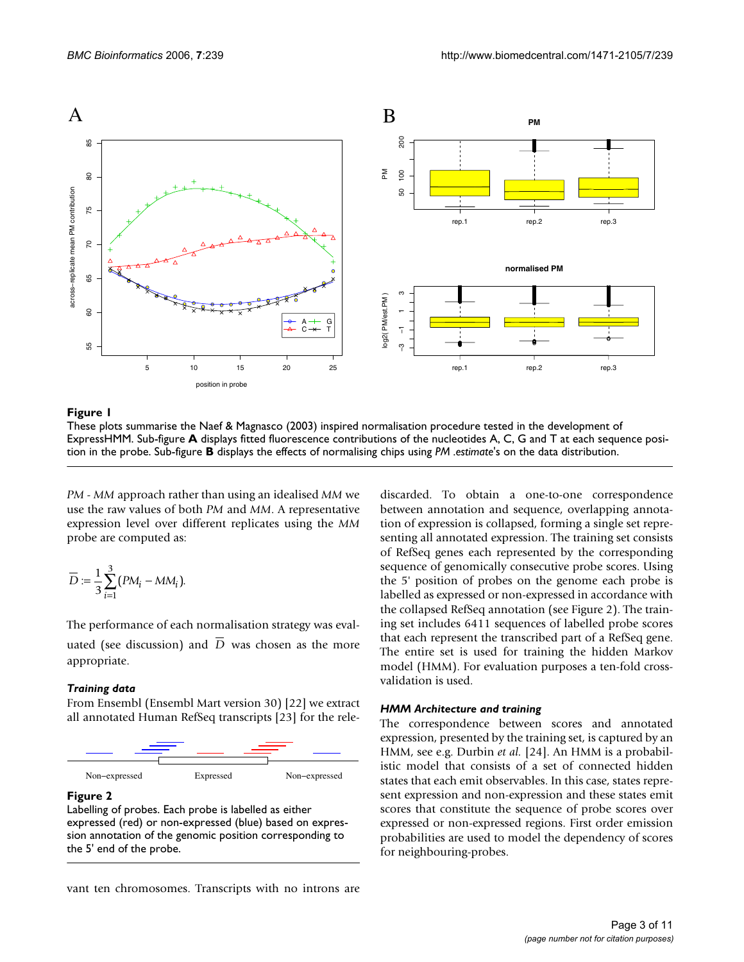

## ExpressHMM **Figure 1** These plots summarise the Naef & Magnasco (2003) inspired normalisation procedure tested in the development of

These plots summarise the Naef & Magnasco (2003) inspired normalisation procedure tested in the development of ExpressHMM. Sub-figure **A** displays fitted fluorescence contributions of the nucleotides A, C, G and T at each sequence position in the probe. Sub-figure **B** displays the effects of normalising chips using *PM .estimate*'s on the data distribution.

*PM* - *MM* approach rather than using an idealised *MM* we use the raw values of both *PM* and *MM*. A representative expression level over different replicates using the *MM* probe are computed as:

$$
\overline{D} := \frac{1}{3} \sum_{i=1}^{3} (PM_i - MM_i).
$$

The performance of each normalisation strategy was evaluated (see discussion) and *D* was chosen as the more appropriate.

### *Training data*

From Ensembl (Ensembl Mart version 30) [22] we extract all annotated Human RefSeq transcripts [23] for the rele-



### **Figure 2**

Labelling of probes. Each probe is labelled as either expressed (red) or non-expressed (blue) based on expression annotation of the genomic position corresponding to the 5' end of the probe.

vant ten chromosomes. Transcripts with no introns are

discarded. To obtain a one-to-one correspondence between annotation and sequence, overlapping annotation of expression is collapsed, forming a single set representing all annotated expression. The training set consists of RefSeq genes each represented by the corresponding sequence of genomically consecutive probe scores. Using the 5' position of probes on the genome each probe is labelled as expressed or non-expressed in accordance with the collapsed RefSeq annotation (see Figure 2). The training set includes 6411 sequences of labelled probe scores that each represent the transcribed part of a RefSeq gene. The entire set is used for training the hidden Markov model (HMM). For evaluation purposes a ten-fold crossvalidation is used.

## *HMM Architecture and training*

The correspondence between scores and annotated expression, presented by the training set, is captured by an HMM, see e.g. Durbin et al. [24]. An HMM is a probabilistic model that consists of a set of connected hidden states that each emit observables. In this case, states represent expression and non-expression and these states emit scores that constitute the sequence of probe scores over expressed or non-expressed regions. First order emission probabilities are used to model the dependency of scores for neighbouring-probes.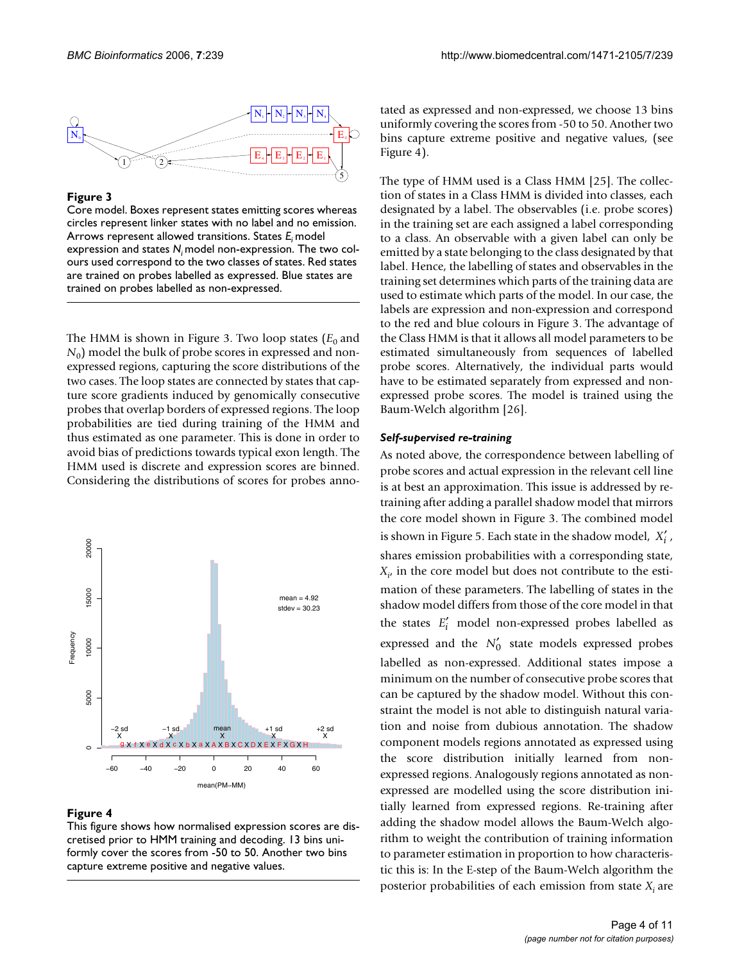

## **Figure 3**

Core model. Boxes represent states emitting scores whereas circles represent linker states with no label and no emission. Arrows represent allowed transitions. States *Ei* model expression and states *Ni* model non-expression. The two colours used correspond to the two classes of states. Red states are trained on probes labelled as expressed. Blue states are trained on probes labelled as non-expressed.

The HMM is shown in Figure 3. Two loop states  $(E_0$  and *N*<sub>0</sub>) model the bulk of probe scores in expressed and nonexpressed regions, capturing the score distributions of the two cases. The loop states are connected by states that capture score gradients induced by genomically consecutive probes that overlap borders of expressed regions. The loop probabilities are tied during training of the HMM and thus estimated as one parameter. This is done in order to avoid bias of predictions towards typical exon length. The HMM used is discrete and expression scores are binned. Considering the distributions of scores for probes anno-



## Figure 4

This figure shows how normalised expression scores are discretised prior to HMM training and decoding. 13 bins uniformly cover the scores from -50 to 50. Another two bins capture extreme positive and negative values.

tated as expressed and non-expressed, we choose 13 bins uniformly covering the scores from -50 to 50. Another two bins capture extreme positive and negative values, (see Figure 4).

The type of HMM used is a Class HMM [25]. The collection of states in a Class HMM is divided into classes, each designated by a label. The observables (i.e. probe scores) in the training set are each assigned a label corresponding to a class. An observable with a given label can only be emitted by a state belonging to the class designated by that label. Hence, the labelling of states and observables in the training set determines which parts of the training data are used to estimate which parts of the model. In our case, the labels are expression and non-expression and correspond to the red and blue colours in Figure 3. The advantage of the Class HMM is that it allows all model parameters to be estimated simultaneously from sequences of labelled probe scores. Alternatively, the individual parts would have to be estimated separately from expressed and nonexpressed probe scores. The model is trained using the Baum-Welch algorithm [26].

## *Self-supervised re-training*

As noted above, the correspondence between labelling of probe scores and actual expression in the relevant cell line is at best an approximation. This issue is addressed by retraining after adding a parallel shadow model that mirrors the core model shown in Figure 3. The combined model is shown in Figure 5. Each state in the shadow model,  $X'_{i}$ , shares emission probabilities with a corresponding state,  $X_i$ , in the core model but does not contribute to the estimation of these parameters. The labelling of states in the shadow model differs from those of the core model in that the states  $E'_i$  model non-expressed probes labelled as expressed and the  $N'_0$  state models expressed probes labelled as non-expressed. Additional states impose a minimum on the number of consecutive probe scores that can be captured by the shadow model. Without this constraint the model is not able to distinguish natural variation and noise from dubious annotation. The shadow component models regions annotated as expressed using the score distribution initially learned from nonexpressed regions. Analogously regions annotated as nonexpressed are modelled using the score distribution initially learned from expressed regions. Re-training after adding the shadow model allows the Baum-Welch algorithm to weight the contribution of training information to parameter estimation in proportion to how characteristic this is: In the E-step of the Baum-Welch algorithm the posterior probabilities of each emission from state  $X_i$  are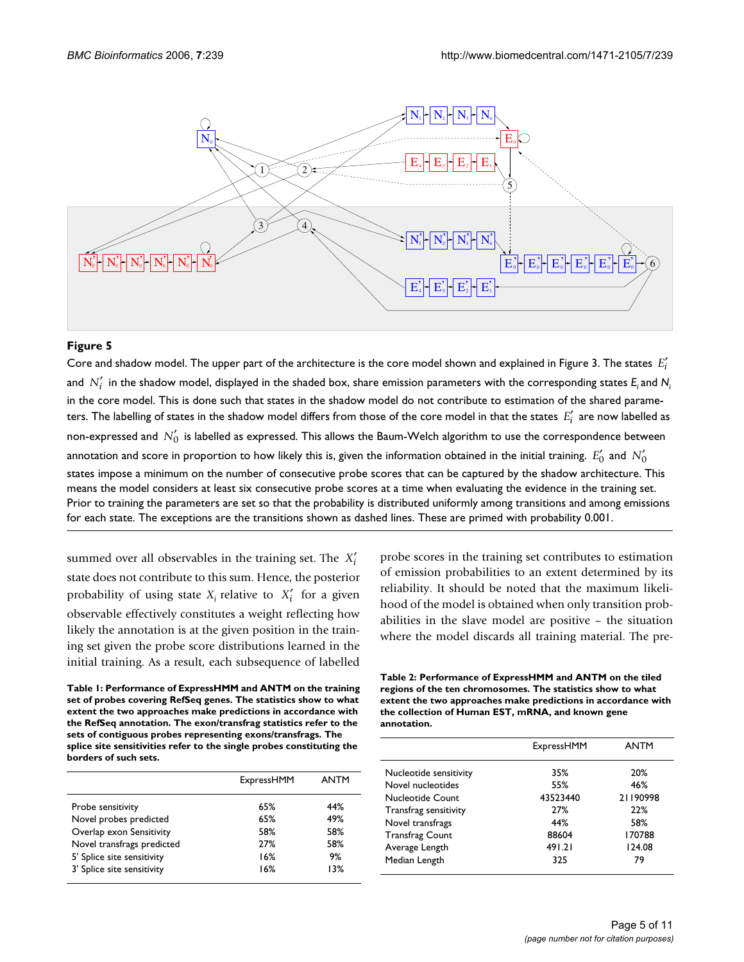

## **Figure 5**

Core and shadow model. The upper part of the architecture is the core model shown and explained in Figure 3. The states  $\ E'_i$ and  $N'_i$  in the shadow model, displayed in the shaded box, share emission parameters with the corresponding states  $E_i$  and  $N_i$ in the core model. This is done such that states in the shadow model do not contribute to estimation of the shared parameters. The labelling of states in the shadow model differs from those of the core model in that the states  $\,E'_i\,$  are now labelled as non-expressed and  $\,N'_{0}\,$  is labelled as expressed. This allows the Baum-Welch algorithm to use the correspondence between annotation and score in proportion to how likely this is, given the information obtained in the initial training.  $E_0^\prime$  and  $N_0^\prime$ states impose a minimum on the number of consecutive probe scores that can be captured by the shadow architecture. This means the model considers at least six consecutive probe scores at a time when evaluating the evidence in the training set. Prior to training the parameters are set so that the probability is distributed uniformly among transitions and among emissions for each state. The exceptions are the transitions shown as dashed lines. These are primed with probability 0.001.

summed over all observables in the training set. The *X*′ *i* state does not contribute to this sum. Hence, the posterior probability of using state  $X_i$  relative to  $X'_i$  for a given observable effectively constitutes a weight reflecting how likely the annotation is at the given position in the training set given the probe score distributions learned in the initial training. As a result, each subsequence of labelled

**Table 1: Performance of ExpressHMM and ANTM on the training set of probes covering RefSeq genes. The statistics show to what extent the two approaches make predictions in accordance with the RefSeq annotation. The exon/transfrag statistics refer to the sets of contiguous probes representing exons/transfrags. The splice site sensitivities refer to the single probes constituting the borders of such sets.**

|                            | <b>ExpressHMM</b> | ANTM |
|----------------------------|-------------------|------|
| Probe sensitivity          | 65%               | 44%  |
| Novel probes predicted     | 65%               | 49%  |
| Overlap exon Sensitivity   | 58%               | 58%  |
| Novel transfrags predicted | 27%               | 58%  |
| 5' Splice site sensitivity | 16%               | 9%   |
| 3' Splice site sensitivity | 16%               | 13%  |

probe scores in the training set contributes to estimation of emission probabilities to an extent determined by its reliability. It should be noted that the maximum likelihood of the model is obtained when only transition probabilities in the slave model are positive – the situation where the model discards all training material. The pre-

**Table 2: Performance of ExpressHMM and ANTM on the tiled regions of the ten chromosomes. The statistics show to what extent the two approaches make predictions in accordance with the collection of Human EST, mRNA, and known gene annotation.**

|                        | <b>ExpressHMM</b> | ANTM     |
|------------------------|-------------------|----------|
| Nucleotide sensitivity | 35%               | 20%      |
| Novel nucleotides      | 55%               | 46%      |
| Nucleotide Count       | 43523440          | 21190998 |
| Transfrag sensitivity  | 27%               | 22%      |
| Novel transfrags       | 44%               | 58%      |
| <b>Transfrag Count</b> | 88604             | 170788   |
| Average Length         | 491.21            | 124.08   |
| Median Length          | 325               | 79       |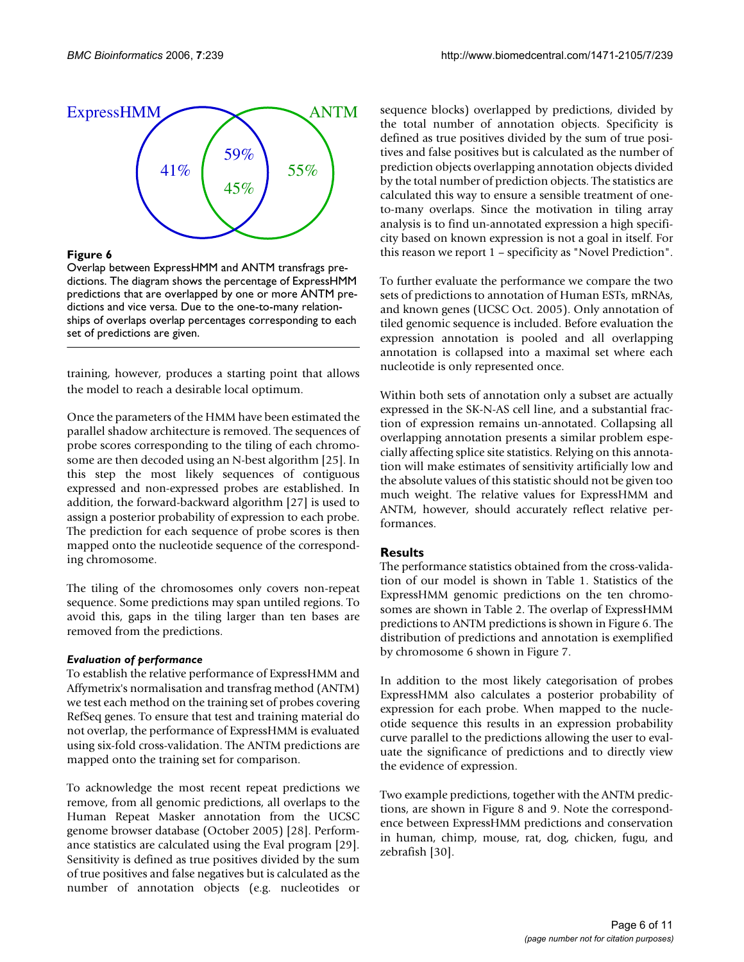

## **Figure 6**

Overlap between ExpressHMM and ANTM transfrags predictions. The diagram shows the percentage of ExpressHMM predictions that are overlapped by one or more ANTM predictions and vice versa. Due to the one-to-many relationships of overlaps overlap percentages corresponding to each set of predictions are given.

training, however, produces a starting point that allows the model to reach a desirable local optimum.

Once the parameters of the HMM have been estimated the parallel shadow architecture is removed. The sequences of probe scores corresponding to the tiling of each chromosome are then decoded using an N-best algorithm [25]. In this step the most likely sequences of contiguous expressed and non-expressed probes are established. In addition, the forward-backward algorithm [27] is used to assign a posterior probability of expression to each probe. The prediction for each sequence of probe scores is then mapped onto the nucleotide sequence of the corresponding chromosome.

The tiling of the chromosomes only covers non-repeat sequence. Some predictions may span untiled regions. To avoid this, gaps in the tiling larger than ten bases are removed from the predictions.

## *Evaluation of performance*

To establish the relative performance of ExpressHMM and Affymetrix's normalisation and transfrag method (ANTM) we test each method on the training set of probes covering RefSeq genes. To ensure that test and training material do not overlap, the performance of ExpressHMM is evaluated using six-fold cross-validation. The ANTM predictions are mapped onto the training set for comparison.

To acknowledge the most recent repeat predictions we remove, from all genomic predictions, all overlaps to the Human Repeat Masker annotation from the UCSC genome browser database (October 2005) [28]. Performance statistics are calculated using the Eval program [29]. Sensitivity is defined as true positives divided by the sum of true positives and false negatives but is calculated as the number of annotation objects (e.g. nucleotides or sequence blocks) overlapped by predictions, divided by the total number of annotation objects. Specificity is defined as true positives divided by the sum of true positives and false positives but is calculated as the number of prediction objects overlapping annotation objects divided by the total number of prediction objects. The statistics are calculated this way to ensure a sensible treatment of oneto-many overlaps. Since the motivation in tiling array analysis is to find un-annotated expression a high specificity based on known expression is not a goal in itself. For this reason we report 1 – specificity as "Novel Prediction".

To further evaluate the performance we compare the two sets of predictions to annotation of Human ESTs, mRNAs, and known genes (UCSC Oct. 2005). Only annotation of tiled genomic sequence is included. Before evaluation the expression annotation is pooled and all overlapping annotation is collapsed into a maximal set where each nucleotide is only represented once.

Within both sets of annotation only a subset are actually expressed in the SK-N-AS cell line, and a substantial fraction of expression remains un-annotated. Collapsing all overlapping annotation presents a similar problem especially affecting splice site statistics. Relying on this annotation will make estimates of sensitivity artificially low and the absolute values of this statistic should not be given too much weight. The relative values for ExpressHMM and ANTM, however, should accurately reflect relative performances.

## **Results**

The performance statistics obtained from the cross-validation of our model is shown in Table 1. Statistics of the ExpressHMM genomic predictions on the ten chromosomes are shown in Table 2. The overlap of ExpressHMM predictions to ANTM predictions is shown in Figure 6. The distribution of predictions and annotation is exemplified by chromosome 6 shown in Figure 7.

In addition to the most likely categorisation of probes ExpressHMM also calculates a posterior probability of expression for each probe. When mapped to the nucleotide sequence this results in an expression probability curve parallel to the predictions allowing the user to evaluate the significance of predictions and to directly view the evidence of expression.

Two example predictions, together with the ANTM predictions, are shown in Figure 8 and 9. Note the correspondence between ExpressHMM predictions and conservation in human, chimp, mouse, rat, dog, chicken, fugu, and zebrafish [30].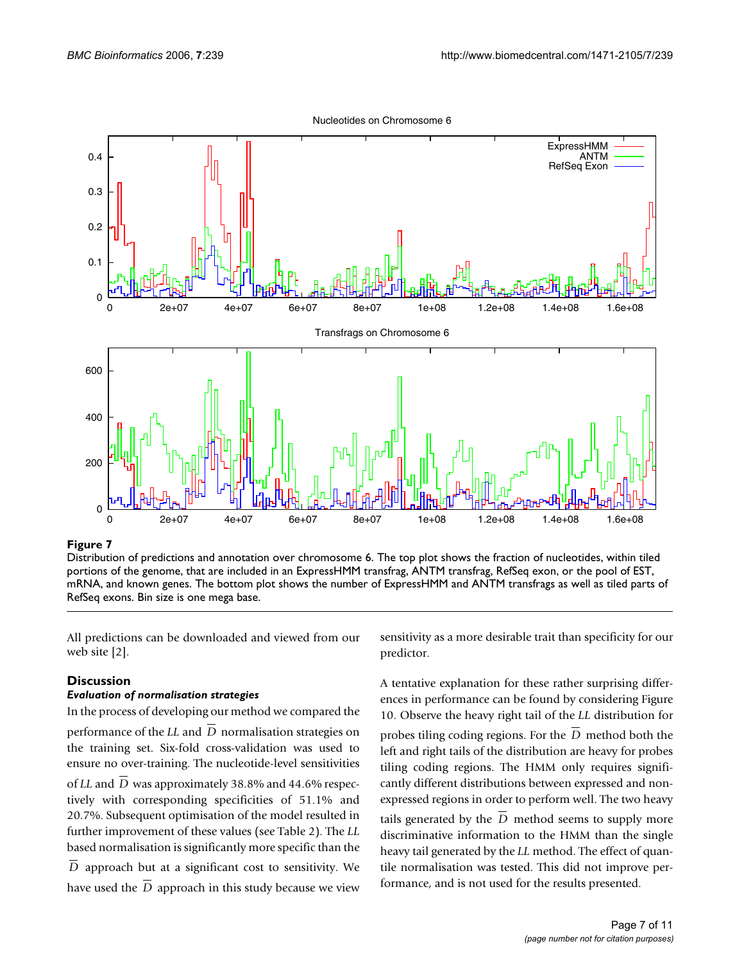Nucleotides on Chromosome 6



## Figure 7

Distribution of predictions and annotation over chromosome 6. The top plot shows the fraction of nucleotides, within tiled portions of the genome, that are included in an ExpressHMM transfrag, ANTM transfrag, RefSeq exon, or the pool of EST, mRNA, and known genes. The bottom plot shows the number of ExpressHMM and ANTM transfrags as well as tiled parts of RefSeq exons. Bin size is one mega base.

All predictions can be downloaded and viewed from our web site [2].

## **Discussion**

## *Evaluation of normalisation strategies*

In the process of developing our method we compared the performance of the *LL* and D normalisation strategies on the training set. Six-fold cross-validation was used to ensure no over-training. The nucleotide-level sensitivities of *LL* and *D* was approximately 38.8% and 44.6% respectively with corresponding specificities of 51.1% and 20.7%. Subsequent optimisation of the model resulted in further improvement of these values (see Table 2). The *LL* based normalisation is significantly more specific than the

 approach but at a significant cost to sensitivity. We *D* have used the D approach in this study because we view sensitivity as a more desirable trait than specificity for our predictor.

A tentative explanation for these rather surprising differences in performance can be found by considering Figure 10. Observe the heavy right tail of the *LL* distribution for probes tiling coding regions. For the D method both the left and right tails of the distribution are heavy for probes tiling coding regions. The HMM only requires significantly different distributions between expressed and nonexpressed regions in order to perform well. The two heavy tails generated by the D method seems to supply more discriminative information to the HMM than the single heavy tail generated by the *LL* method. The effect of quantile normalisation was tested. This did not improve performance, and is not used for the results presented.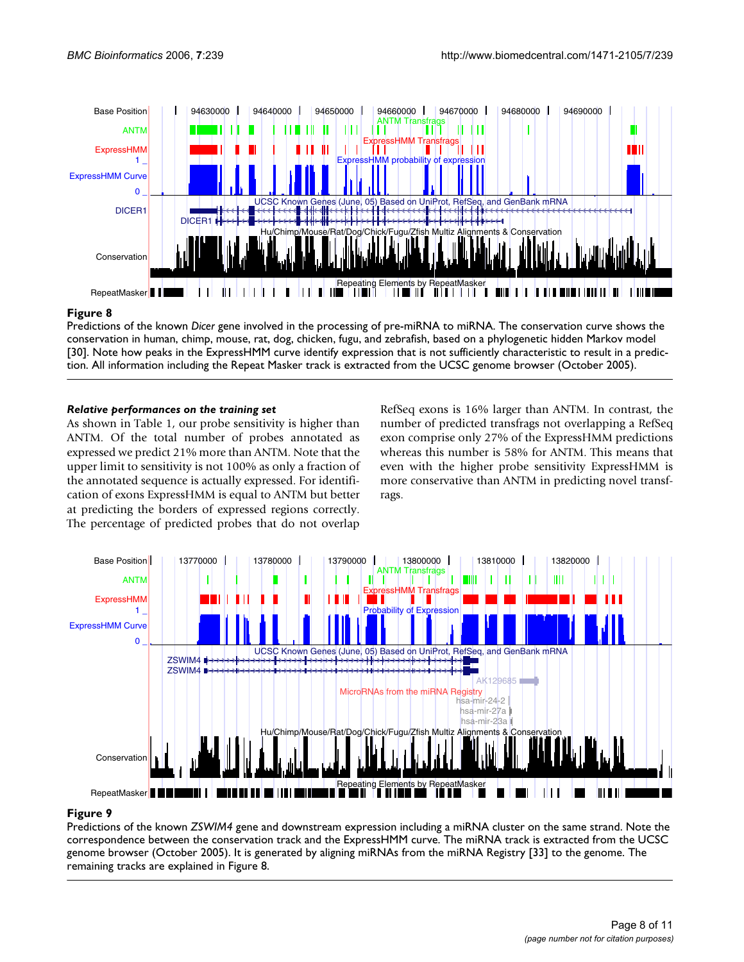

Predictions of the known **Figure 8** *Dicer* gene involved in the processing of pre-miRNA to miRNA Predictions of the known *Dicer* gene involved in the processing of pre-miRNA to miRNA. The conservation curve shows the conservation in human, chimp, mouse, rat, dog, chicken, fugu, and zebrafish, based on a phylogenetic hidden Markov model [30]. Note how peaks in the ExpressHMM curve identify expression that is not sufficiently characteristic to result in a prediction. All information including the Repeat Masker track is extracted from the UCSC genome browser (October 2005).

## *Relative performances on the training set*

As shown in Table 1, our probe sensitivity is higher than ANTM. Of the total number of probes annotated as expressed we predict 21% more than ANTM. Note that the upper limit to sensitivity is not 100% as only a fraction of the annotated sequence is actually expressed. For identification of exons ExpressHMM is equal to ANTM but better at predicting the borders of expressed regions correctly. The percentage of predicted probes that do not overlap

RefSeq exons is 16% larger than ANTM. In contrast, the number of predicted transfrags not overlapping a RefSeq exon comprise only 27% of the ExpressHMM predictions whereas this number is 58% for ANTM. This means that even with the higher probe sensitivity ExpressHMM is more conservative than ANTM in predicting novel transfrags.



**Figure 9** Predictions of the known *ZSWIM4* gene and downstream expression including a miRNA cluster on the same strand Predictions of the known *ZSWIM4* gene and downstream expression including a miRNA cluster on the same strand. Note the correspondence between the conservation track and the ExpressHMM curve. The miRNA track is extracted from the UCSC genome browser (October 2005). It is generated by aligning miRNAs from the miRNA Registry [33] to the genome. The remaining tracks are explained in Figure 8.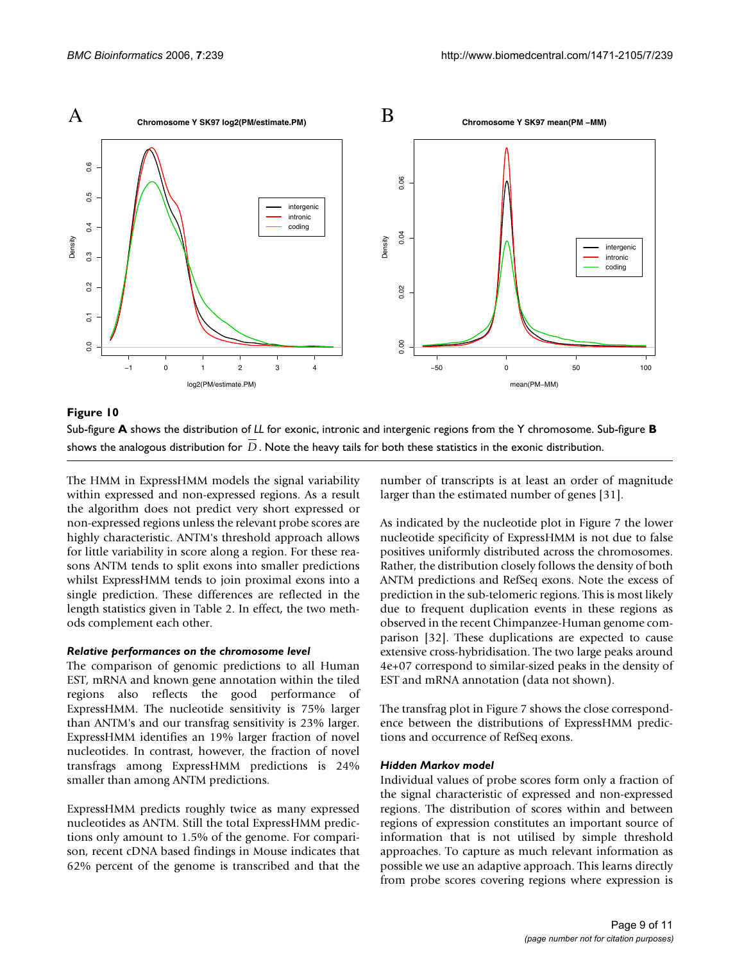

## **Figure 10** Sub-figure **A** shows the distribution of *LL* for exonic, intronic and intergenic regions from the Y chromosome

Sub-figure **A** shows the distribution of *LL* for exonic, intronic and intergenic regions from the Y chromosome. Sub-figure **B**  shows the analogous distribution for  $\,D$  . Note the heavy tails for both these statistics in the exonic distribution.

The HMM in ExpressHMM models the signal variability within expressed and non-expressed regions. As a result the algorithm does not predict very short expressed or non-expressed regions unless the relevant probe scores are highly characteristic. ANTM's threshold approach allows for little variability in score along a region. For these reasons ANTM tends to split exons into smaller predictions whilst ExpressHMM tends to join proximal exons into a single prediction. These differences are reflected in the length statistics given in Table 2. In effect, the two methods complement each other.

### *Relative performances on the chromosome level*

The comparison of genomic predictions to all Human EST, mRNA and known gene annotation within the tiled regions also reflects the good performance of ExpressHMM. The nucleotide sensitivity is 75% larger than ANTM's and our transfrag sensitivity is 23% larger. ExpressHMM identifies an 19% larger fraction of novel nucleotides. In contrast, however, the fraction of novel transfrags among ExpressHMM predictions is 24% smaller than among ANTM predictions.

ExpressHMM predicts roughly twice as many expressed nucleotides as ANTM. Still the total ExpressHMM predictions only amount to 1.5% of the genome. For comparison, recent cDNA based findings in Mouse indicates that 62% percent of the genome is transcribed and that the number of transcripts is at least an order of magnitude larger than the estimated number of genes [31].

As indicated by the nucleotide plot in Figure 7 the lower nucleotide specificity of ExpressHMM is not due to false positives uniformly distributed across the chromosomes. Rather, the distribution closely follows the density of both ANTM predictions and RefSeq exons. Note the excess of prediction in the sub-telomeric regions. This is most likely due to frequent duplication events in these regions as observed in the recent Chimpanzee-Human genome comparison [32]. These duplications are expected to cause extensive cross-hybridisation. The two large peaks around 4e+07 correspond to similar-sized peaks in the density of EST and mRNA annotation (data not shown).

The transfrag plot in Figure 7 shows the close correspondence between the distributions of ExpressHMM predictions and occurrence of RefSeq exons.

### *Hidden Markov model*

Individual values of probe scores form only a fraction of the signal characteristic of expressed and non-expressed regions. The distribution of scores within and between regions of expression constitutes an important source of information that is not utilised by simple threshold approaches. To capture as much relevant information as possible we use an adaptive approach. This learns directly from probe scores covering regions where expression is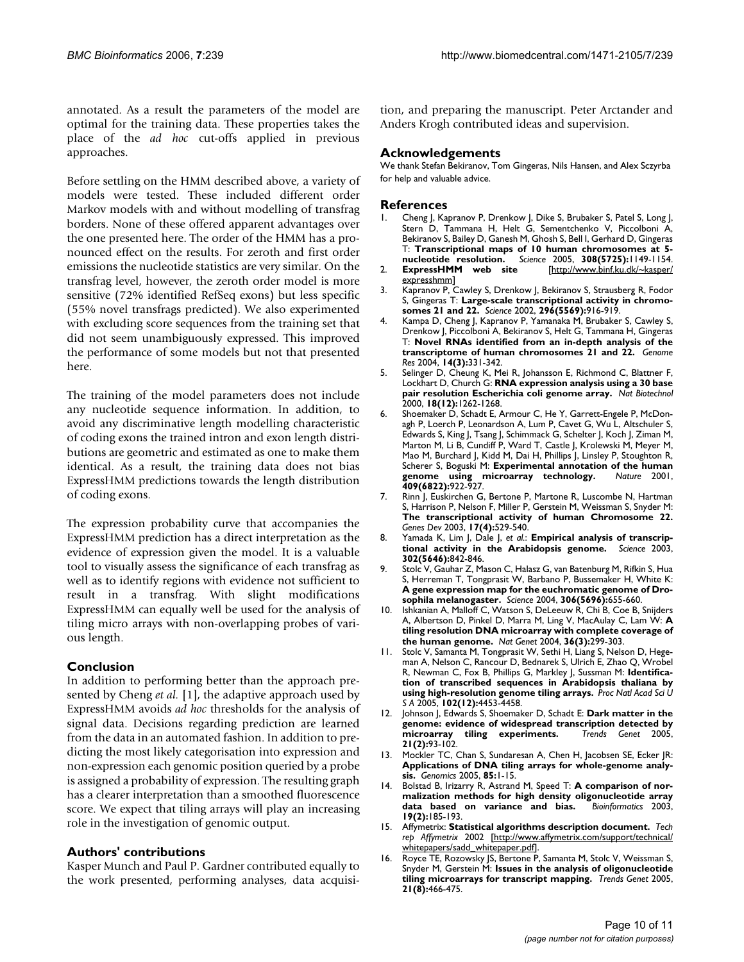annotated. As a result the parameters of the model are optimal for the training data. These properties takes the place of the *ad hoc* cut-offs applied in previous approaches.

Before settling on the HMM described above, a variety of models were tested. These included different order Markov models with and without modelling of transfrag borders. None of these offered apparent advantages over the one presented here. The order of the HMM has a pronounced effect on the results. For zeroth and first order emissions the nucleotide statistics are very similar. On the transfrag level, however, the zeroth order model is more sensitive (72% identified RefSeq exons) but less specific (55% novel transfrags predicted). We also experimented with excluding score sequences from the training set that did not seem unambiguously expressed. This improved the performance of some models but not that presented here.

The training of the model parameters does not include any nucleotide sequence information. In addition, to avoid any discriminative length modelling characteristic of coding exons the trained intron and exon length distributions are geometric and estimated as one to make them identical. As a result, the training data does not bias ExpressHMM predictions towards the length distribution of coding exons.

The expression probability curve that accompanies the ExpressHMM prediction has a direct interpretation as the evidence of expression given the model. It is a valuable tool to visually assess the significance of each transfrag as well as to identify regions with evidence not sufficient to result in a transfrag. With slight modifications ExpressHMM can equally well be used for the analysis of tiling micro arrays with non-overlapping probes of various length.

## **Conclusion**

In addition to performing better than the approach presented by Cheng *et al.* [1], the adaptive approach used by ExpressHMM avoids *ad hoc* thresholds for the analysis of signal data. Decisions regarding prediction are learned from the data in an automated fashion. In addition to predicting the most likely categorisation into expression and non-expression each genomic position queried by a probe is assigned a probability of expression. The resulting graph has a clearer interpretation than a smoothed fluorescence score. We expect that tiling arrays will play an increasing role in the investigation of genomic output.

## **Authors' contributions**

Kasper Munch and Paul P. Gardner contributed equally to the work presented, performing analyses, data acquisition, and preparing the manuscript. Peter Arctander and Anders Krogh contributed ideas and supervision.

## **Acknowledgements**

We thank Stefan Bekiranov, Tom Gingeras, Nils Hansen, and Alex Sczyrba for help and valuable advice.

## **References**

- 1. Cheng J, Kapranov P, Drenkow J, Dike S, Brubaker S, Patel S, Long J, Stern D, Tammana H, Helt G, Sementchenko V, Piccolboni A, Bekiranov S, Bailey D, Ganesh M, Ghosh S, Bell I, Gerhard D, Gingeras T: **[Transcriptional maps of 10 human chromosomes at 5-](http://www.ncbi.nlm.nih.gov/entrez/query.fcgi?cmd=Retrieve&db=PubMed&dopt=Abstract&list_uids=15790807)**
- **[nucleotide resolution.](http://www.ncbi.nlm.nih.gov/entrez/query.fcgi?cmd=Retrieve&db=PubMed&dopt=Abstract&list_uids=15790807)** *Science* 2005, **308(5725):**1149-1154. 2. **ExpressHMM web site** [\[http://www.binf.ku.dk/~kasper/](http://www.binf.ku.dk/~kasper/expresshmm) [expresshmm](http://www.binf.ku.dk/~kasper/expresshmm)]
- 3. Kapranov P, Cawley S, Drenkow J, Bekiranov S, Strausberg R, Fodor S, Gingeras T: **[Large-scale transcriptional activity in chromo](http://www.ncbi.nlm.nih.gov/entrez/query.fcgi?cmd=Retrieve&db=PubMed&dopt=Abstract&list_uids=11988577)[somes 21 and 22.](http://www.ncbi.nlm.nih.gov/entrez/query.fcgi?cmd=Retrieve&db=PubMed&dopt=Abstract&list_uids=11988577)** *Science* 2002, **296(5569):**916-919.
- 4. Kampa D, Cheng J, Kapranov P, Yamanaka M, Brubaker S, Cawley S, Drenkow J, Piccolboni A, Bekiranov S, Helt G, Tammana H, Gingeras T: **[Novel RNAs identified from an in-depth analysis of the](http://www.ncbi.nlm.nih.gov/entrez/query.fcgi?cmd=Retrieve&db=PubMed&dopt=Abstract&list_uids=14993201) [transcriptome of human chromosomes 21 and 22.](http://www.ncbi.nlm.nih.gov/entrez/query.fcgi?cmd=Retrieve&db=PubMed&dopt=Abstract&list_uids=14993201)** *Genome Res* 2004, **14(3):**331-342.
- 5. Selinger D, Cheung K, Mei R, Johansson E, Richmond C, Blattner F, Lockhart D, Church G: **[RNA expression analysis using a 30 base](http://www.ncbi.nlm.nih.gov/entrez/query.fcgi?cmd=Retrieve&db=PubMed&dopt=Abstract&list_uids=11101804) [pair resolution Escherichia coli genome array.](http://www.ncbi.nlm.nih.gov/entrez/query.fcgi?cmd=Retrieve&db=PubMed&dopt=Abstract&list_uids=11101804)** *Nat Biotechnol* 2000, **18(12):**1262-1268.
- Shoemaker D, Schadt E, Armour C, He Y, Garrett-Engele P, McDonagh P, Loerch P, Leonardson A, Lum P, Cavet G, Wu L, Altschuler S, Edwards S, King J, Tsang J, Schimmack G, Schelter J, Koch J, Ziman M, Marton M, Li B, Cundiff P, Ward T, Castle J, Krolewski M, Meyer M, Mao M, Burchard J, Kidd M, Dai H, Phillips J, Linsley P, Stoughton R, Scherer S, Boguski M: **[Experimental annotation of the human](http://www.ncbi.nlm.nih.gov/entrez/query.fcgi?cmd=Retrieve&db=PubMed&dopt=Abstract&list_uids=11237012) [genome using microarray technology.](http://www.ncbi.nlm.nih.gov/entrez/query.fcgi?cmd=Retrieve&db=PubMed&dopt=Abstract&list_uids=11237012)** *Nature* 2001, **409(6822):**922-927.
- 7. Rinn J, Euskirchen G, Bertone P, Martone R, Luscombe N, Hartman S, Harrison P, Nelson F, Miller P, Gerstein M, Weissman S, Snyder M: **[The transcriptional activity of human Chromosome 22.](http://www.ncbi.nlm.nih.gov/entrez/query.fcgi?cmd=Retrieve&db=PubMed&dopt=Abstract&list_uids=12600945)** *Genes Dev* 2003, **17(4):**529-540.
- 8. Yamada K, Lim J, Dale J, *et al.*: **[Empirical analysis of transcrip](http://www.ncbi.nlm.nih.gov/entrez/query.fcgi?cmd=Retrieve&db=PubMed&dopt=Abstract&list_uids=14593172)[tional activity in the Arabidopsis genome.](http://www.ncbi.nlm.nih.gov/entrez/query.fcgi?cmd=Retrieve&db=PubMed&dopt=Abstract&list_uids=14593172)** *Science* 2003, **302(5646):**842-846.
- 9. Stolc V, Gauhar Z, Mason C, Halasz G, van Batenburg M, Rifkin S, Hua S, Herreman T, Tongprasit W, Barbano P, Bussemaker H, White K: **[A gene expression map for the euchromatic genome of Dro](http://www.ncbi.nlm.nih.gov/entrez/query.fcgi?cmd=Retrieve&db=PubMed&dopt=Abstract&list_uids=15499012)[sophila melanogaster.](http://www.ncbi.nlm.nih.gov/entrez/query.fcgi?cmd=Retrieve&db=PubMed&dopt=Abstract&list_uids=15499012)** *Science* 2004, **306(5696):**655-660.
- 10. Ishkanian A, Malloff C, Watson S, DeLeeuw R, Chi B, Coe B, Snijders A, Albertson D, Pinkel D, Marra M, Ling V, MacAulay C, Lam W: **[A](http://www.ncbi.nlm.nih.gov/entrez/query.fcgi?cmd=Retrieve&db=PubMed&dopt=Abstract&list_uids=14981516) [tiling resolution DNA microarray with complete coverage of](http://www.ncbi.nlm.nih.gov/entrez/query.fcgi?cmd=Retrieve&db=PubMed&dopt=Abstract&list_uids=14981516) [the human genome.](http://www.ncbi.nlm.nih.gov/entrez/query.fcgi?cmd=Retrieve&db=PubMed&dopt=Abstract&list_uids=14981516)** *Nat Genet* 2004, **36(3):**299-303.
- 11. Stolc V, Samanta M, Tongprasit W, Sethi H, Liang S, Nelson D, Hegeman A, Nelson C, Rancour D, Bednarek S, Ulrich E, Zhao Q, Wrobel R, Newman C, Fox B, Phillips G, Markley J, Sussman M: **[Identifica](http://www.ncbi.nlm.nih.gov/entrez/query.fcgi?cmd=Retrieve&db=PubMed&dopt=Abstract&list_uids=15755812)[tion of transcribed sequences in Arabidopsis thaliana by](http://www.ncbi.nlm.nih.gov/entrez/query.fcgi?cmd=Retrieve&db=PubMed&dopt=Abstract&list_uids=15755812) [using high-resolution genome tiling arrays.](http://www.ncbi.nlm.nih.gov/entrez/query.fcgi?cmd=Retrieve&db=PubMed&dopt=Abstract&list_uids=15755812)** *Proc Natl Acad Sci U S A* 2005, **102(12):**4453-4458.
- 12. Johnson J, Edwards S, Shoemaker D, Schadt E: **[Dark matter in the](http://www.ncbi.nlm.nih.gov/entrez/query.fcgi?cmd=Retrieve&db=PubMed&dopt=Abstract&list_uids=15661355) [genome: evidence of widespread transcription detected by](http://www.ncbi.nlm.nih.gov/entrez/query.fcgi?cmd=Retrieve&db=PubMed&dopt=Abstract&list_uids=15661355) [microarray tiling experiments.](http://www.ncbi.nlm.nih.gov/entrez/query.fcgi?cmd=Retrieve&db=PubMed&dopt=Abstract&list_uids=15661355)** *Trends Genet* 2005, **21(2):**93-102.
- 13. Mockler TC, Chan S, Sundaresan A, Chen H, Jacobsen SE, Ecker JR: **[Applications of DNA tiling arrays for whole-genome analy](http://www.ncbi.nlm.nih.gov/entrez/query.fcgi?cmd=Retrieve&db=PubMed&dopt=Abstract&list_uids=15607417)[sis.](http://www.ncbi.nlm.nih.gov/entrez/query.fcgi?cmd=Retrieve&db=PubMed&dopt=Abstract&list_uids=15607417)** *Genomics* 2005, **85:**1-15.
- 14. Bolstad B, Irizarry R, Astrand M, Speed T: **[A comparison of nor](http://www.ncbi.nlm.nih.gov/entrez/query.fcgi?cmd=Retrieve&db=PubMed&dopt=Abstract&list_uids=12538238)[malization methods for high density oligonucleotide array](http://www.ncbi.nlm.nih.gov/entrez/query.fcgi?cmd=Retrieve&db=PubMed&dopt=Abstract&list_uids=12538238)** [data based on variance and bias.](http://www.ncbi.nlm.nih.gov/entrez/query.fcgi?cmd=Retrieve&db=PubMed&dopt=Abstract&list_uids=12538238) **19(2):**185-193.
- 15. Affymetrix: **Statistical algorithms description document.** *Tech rep Affymetrix* 2002 [[http://www.affymetrix.com/support/technical/](http://www.affymetrix.com/support/technical/whitepapers/sadd_whitepaper.pdf) [whitepapers/sadd\\_whitepaper.pdf\]](http://www.affymetrix.com/support/technical/whitepapers/sadd_whitepaper.pdf).
- 16. Royce TE, Rozowsky JS, Bertone P, Samanta M, Stolc V, Weissman S, Snyder M, Gerstein M: **[Issues in the analysis of oligonucleotide](http://www.ncbi.nlm.nih.gov/entrez/query.fcgi?cmd=Retrieve&db=PubMed&dopt=Abstract&list_uids=15979196) [tiling microarrays for transcript mapping.](http://www.ncbi.nlm.nih.gov/entrez/query.fcgi?cmd=Retrieve&db=PubMed&dopt=Abstract&list_uids=15979196)** *Trends Genet* 2005, **21(8):**466-475.